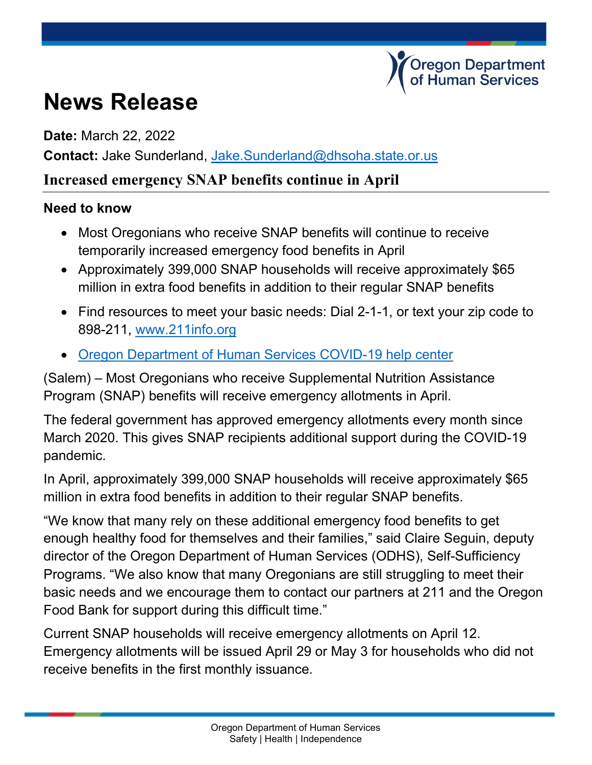## **regon Department** Human Services

# **News Release**

**Date:** March 22, 2022

**Contact:** Jake Sunderland, [Jake.Sunderland@dhsoha.state.or.us](mailto:Jake.Sunderland@dhsoha.state.or.us)

#### **Increased emergency SNAP benefits continue in April**

#### **Need to know**

- Most Oregonians who receive SNAP benefits will continue to receive temporarily increased emergency food benefits in April
- Approximately 399,000 SNAP households will receive approximately \$65 million in extra food benefits in addition to their regular SNAP benefits
- Find resources to meet your basic needs: Dial 2-1-1, or text your zip code to 898-211, [www.211info.org](http://www.211info.org/)
- [Oregon Department of Human Services COVID-19 help center](https://www.oregon.gov/dhs/Pages/COVID-19.aspx)

(Salem) – Most Oregonians who receive Supplemental Nutrition Assistance Program (SNAP) benefits will receive emergency allotments in April.

The federal government has approved emergency allotments every month since March 2020. This gives SNAP recipients additional support during the COVID-19 pandemic.

In April, approximately 399,000 SNAP households will receive approximately \$65 million in extra food benefits in addition to their regular SNAP benefits.

"We know that many rely on these additional emergency food benefits to get enough healthy food for themselves and their families," said Claire Seguin, deputy director of the Oregon Department of Human Services (ODHS), Self-Sufficiency Programs. "We also know that many Oregonians are still struggling to meet their basic needs and we encourage them to contact our partners at 211 and the Oregon Food Bank for support during this difficult time."

Current SNAP households will receive emergency allotments on April 12. Emergency allotments will be issued April 29 or May 3 for households who did not receive benefits in the first monthly issuance.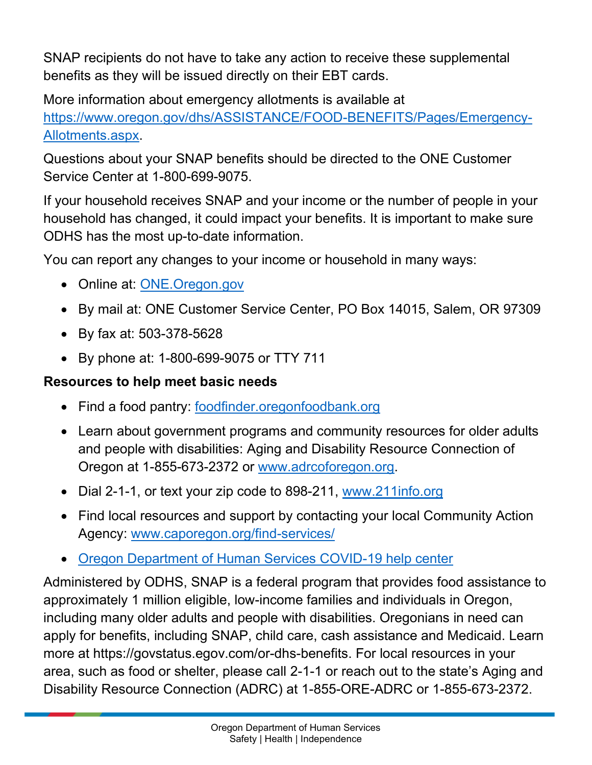SNAP recipients do not have to take any action to receive these supplemental benefits as they will be issued directly on their EBT cards.

More information about emergency allotments is available at [https://www.oregon.gov/dhs/ASSISTANCE/FOOD-BENEFITS/Pages/Emergency-](https://www.oregon.gov/dhs/ASSISTANCE/FOOD-BENEFITS/Pages/Emergency-Allotments.aspx)[Allotments.aspx.](https://www.oregon.gov/dhs/ASSISTANCE/FOOD-BENEFITS/Pages/Emergency-Allotments.aspx)

Questions about your SNAP benefits should be directed to the ONE Customer Service Center at 1-800-699-9075.

If your household receives SNAP and your income or the number of people in your household has changed, it could impact your benefits. It is important to make sure ODHS has the most up-to-date information.

You can report any changes to your income or household in many ways:

- Online at: **ONE.Oregon.gov**
- By mail at: ONE Customer Service Center, PO Box 14015, Salem, OR 97309
- By fax at: 503-378-5628
- By phone at: 1-800-699-9075 or TTY 711

### **Resources to help meet basic needs**

- Find a food pantry: [foodfinder.oregonfoodbank.org](https://foodfinder.oregonfoodbank.org/)
- Learn about government programs and community resources for older adults and people with disabilities: Aging and Disability Resource Connection of Oregon at 1-855-673-2372 or [www.adrcoforegon.org.](http://www.adrcoforegon.org/)
- Dial 2-1-1, or text your zip code to 898-211, www.211info.org
- Find local resources and support by contacting your local Community Action Agency: [www.caporegon.org/find-services/](http://www.caporegon.org/find-services/)
- [Oregon Department of Human Services COVID-19 help center](https://www.oregon.gov/dhs/Pages/COVID-19.aspx)

Administered by ODHS, SNAP is a federal program that provides food assistance to approximately 1 million eligible, low-income families and individuals in Oregon, including many older adults and people with disabilities. Oregonians in need can apply for benefits, including SNAP, child care, cash assistance and Medicaid. Learn more at https://govstatus.egov.com/or-dhs-benefits. For local resources in your area, such as food or shelter, please call 2-1-1 or reach out to the state's Aging and Disability Resource Connection (ADRC) at 1-855-ORE-ADRC or 1-855-673-2372.